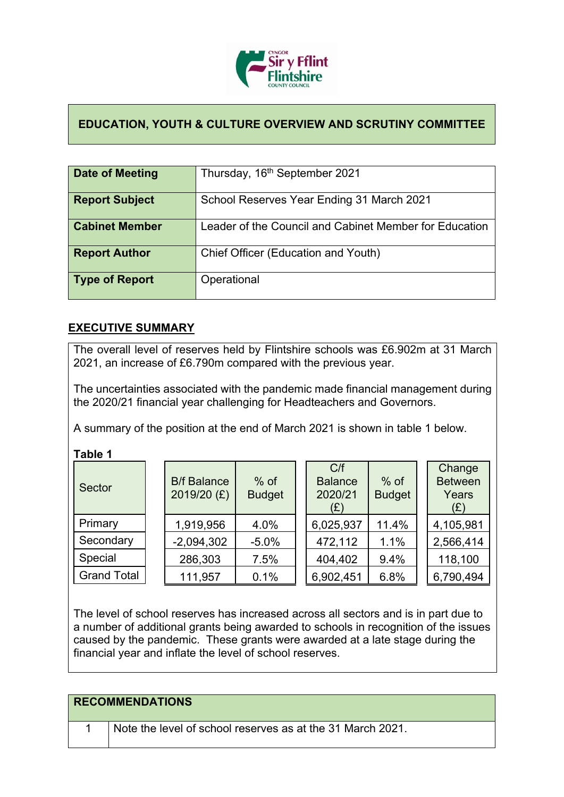

## **EDUCATION, YOUTH & CULTURE OVERVIEW AND SCRUTINY COMMITTEE**

| Date of Meeting       | Thursday, 16 <sup>th</sup> September 2021              |
|-----------------------|--------------------------------------------------------|
| <b>Report Subject</b> | School Reserves Year Ending 31 March 2021              |
| <b>Cabinet Member</b> | Leader of the Council and Cabinet Member for Education |
| <b>Report Author</b>  | Chief Officer (Education and Youth)                    |
| Type of Report        | Operational                                            |

## **EXECUTIVE SUMMARY**

The overall level of reserves held by Flintshire schools was £6.902m at 31 March 2021, an increase of £6.790m compared with the previous year.

The uncertainties associated with the pandemic made financial management during the 2020/21 financial year challenging for Headteachers and Governors.

A summary of the position at the end of March 2021 is shown in table 1 below.

**Table 1**

| Sector             | <b>B/f Balance</b><br>2019/20 (£) | $%$ of<br><b>Budget</b> | C/f<br><b>Balance</b><br>2020/21<br>(E) | $%$ of<br><b>Budget</b> | Change<br><b>Between</b><br>Years<br>(E) |
|--------------------|-----------------------------------|-------------------------|-----------------------------------------|-------------------------|------------------------------------------|
| Primary            | 1,919,956                         | 4.0%                    | 6,025,937                               | 11.4%                   | 4,105,981                                |
| Secondary          | $-2,094,302$                      | $-5.0%$                 | 472,112                                 | 1.1%                    | 2,566,414                                |
| Special            | 286,303                           | 7.5%                    | 404,402                                 | 9.4%                    | 118,100                                  |
| <b>Grand Total</b> | 111,957                           | 0.1%                    | 6,902,451                               | 6.8%                    | 6,790,494                                |

The level of school reserves has increased across all sectors and is in part due to a number of additional grants being awarded to schools in recognition of the issues caused by the pandemic. These grants were awarded at a late stage during the financial year and inflate the level of school reserves.

| <b>RECOMMENDATIONS</b>                                     |
|------------------------------------------------------------|
| Note the level of school reserves as at the 31 March 2021. |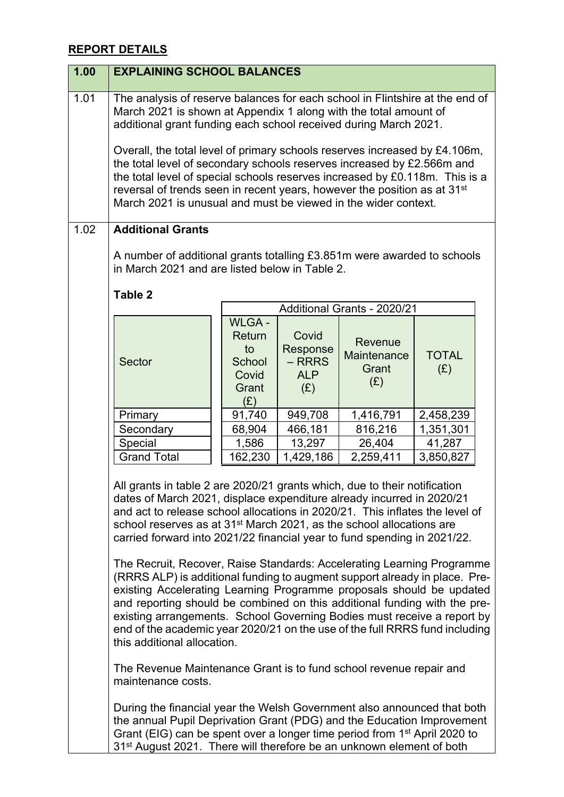## **REPORT DETAILS**

| 1.00 | <b>EXPLAINING SCHOOL BALANCES</b>                                                                                                                                                                                                                                                                                                                                                                                                                                                                                                                                                                                                                                                                                                                                                                                                                                                                        |                                                                 |                                                    |                                        |                     |  |
|------|----------------------------------------------------------------------------------------------------------------------------------------------------------------------------------------------------------------------------------------------------------------------------------------------------------------------------------------------------------------------------------------------------------------------------------------------------------------------------------------------------------------------------------------------------------------------------------------------------------------------------------------------------------------------------------------------------------------------------------------------------------------------------------------------------------------------------------------------------------------------------------------------------------|-----------------------------------------------------------------|----------------------------------------------------|----------------------------------------|---------------------|--|
| 1.01 | The analysis of reserve balances for each school in Flintshire at the end of<br>March 2021 is shown at Appendix 1 along with the total amount of<br>additional grant funding each school received during March 2021.<br>Overall, the total level of primary schools reserves increased by £4.106m,<br>the total level of secondary schools reserves increased by £2.566m and<br>the total level of special schools reserves increased by £0.118m. This is a<br>reversal of trends seen in recent years, however the position as at 31 <sup>st</sup><br>March 2021 is unusual and must be viewed in the wider context.                                                                                                                                                                                                                                                                                    |                                                                 |                                                    |                                        |                     |  |
| 1.02 | <b>Additional Grants</b>                                                                                                                                                                                                                                                                                                                                                                                                                                                                                                                                                                                                                                                                                                                                                                                                                                                                                 |                                                                 |                                                    |                                        |                     |  |
|      | A number of additional grants totalling £3.851m were awarded to schools<br>in March 2021 and are listed below in Table 2.                                                                                                                                                                                                                                                                                                                                                                                                                                                                                                                                                                                                                                                                                                                                                                                |                                                                 |                                                    |                                        |                     |  |
|      | <b>Table 2</b>                                                                                                                                                                                                                                                                                                                                                                                                                                                                                                                                                                                                                                                                                                                                                                                                                                                                                           |                                                                 |                                                    |                                        |                     |  |
|      |                                                                                                                                                                                                                                                                                                                                                                                                                                                                                                                                                                                                                                                                                                                                                                                                                                                                                                          |                                                                 |                                                    | Additional Grants - 2020/21            |                     |  |
|      | <b>Sector</b>                                                                                                                                                                                                                                                                                                                                                                                                                                                                                                                                                                                                                                                                                                                                                                                                                                                                                            | <b>WLGA-</b><br>Return<br>to<br>School<br>Covid<br>Grant<br>(E) | Covid<br>Response<br>$-$ RRRS<br><b>ALP</b><br>(E) | Revenue<br>Maintenance<br>Grant<br>(E) | <b>TOTAL</b><br>(E) |  |
|      | Primary                                                                                                                                                                                                                                                                                                                                                                                                                                                                                                                                                                                                                                                                                                                                                                                                                                                                                                  | 91,740                                                          | 949,708                                            | 1,416,791                              | 2,458,239           |  |
|      | Secondary                                                                                                                                                                                                                                                                                                                                                                                                                                                                                                                                                                                                                                                                                                                                                                                                                                                                                                | 68,904                                                          | 466,181                                            | 816,216                                | 1,351,301           |  |
|      | Special                                                                                                                                                                                                                                                                                                                                                                                                                                                                                                                                                                                                                                                                                                                                                                                                                                                                                                  | 1,586                                                           | 13,297                                             | 26,404                                 | 41,287              |  |
|      | <b>Grand Total</b>                                                                                                                                                                                                                                                                                                                                                                                                                                                                                                                                                                                                                                                                                                                                                                                                                                                                                       | 162,230                                                         | 1,429,186                                          | 2,259,411                              | 3,850,827           |  |
|      | All grants in table 2 are 2020/21 grants which, due to their notification<br>dates of March 2021, displace expenditure already incurred in 2020/21<br>and act to release school allocations in 2020/21. This inflates the level of<br>school reserves as at 31 <sup>st</sup> March 2021, as the school allocations are<br>carried forward into 2021/22 financial year to fund spending in 2021/22.<br>The Recruit, Recover, Raise Standards: Accelerating Learning Programme<br>(RRRS ALP) is additional funding to augment support already in place. Pre-<br>existing Accelerating Learning Programme proposals should be updated<br>and reporting should be combined on this additional funding with the pre-<br>existing arrangements. School Governing Bodies must receive a report by<br>end of the academic year 2020/21 on the use of the full RRRS fund including<br>this additional allocation. |                                                                 |                                                    |                                        |                     |  |
|      | The Revenue Maintenance Grant is to fund school revenue repair and<br>maintenance costs.                                                                                                                                                                                                                                                                                                                                                                                                                                                                                                                                                                                                                                                                                                                                                                                                                 |                                                                 |                                                    |                                        |                     |  |
|      | During the financial year the Welsh Government also announced that both<br>the annual Pupil Deprivation Grant (PDG) and the Education Improvement<br>Grant (EIG) can be spent over a longer time period from 1 <sup>st</sup> April 2020 to                                                                                                                                                                                                                                                                                                                                                                                                                                                                                                                                                                                                                                                               |                                                                 |                                                    |                                        |                     |  |

31<sup>st</sup> August 2021. There will therefore be an unknown element of both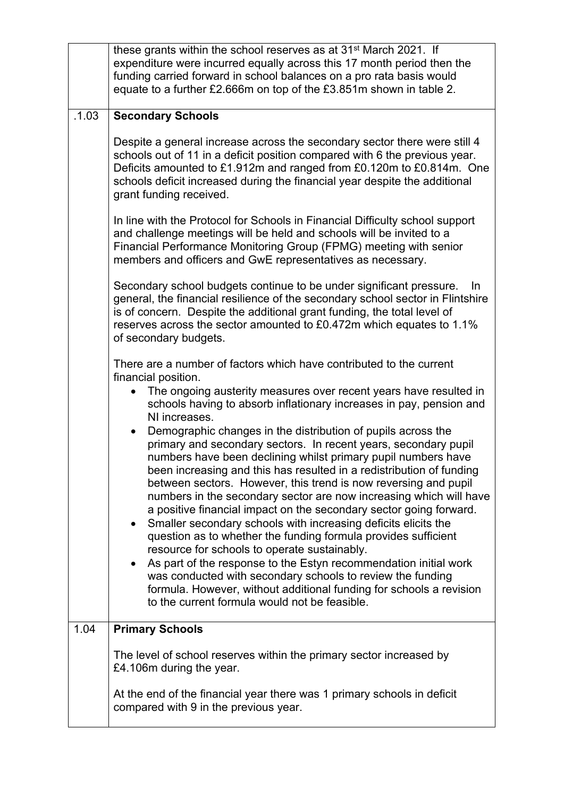|       | these grants within the school reserves as at 31 <sup>st</sup> March 2021. If<br>expenditure were incurred equally across this 17 month period then the<br>funding carried forward in school balances on a pro rata basis would<br>equate to a further £2.666m on top of the £3.851m shown in table 2.                                                                                                                                                                                                                                                                                                                                                                                                                                                                                                                                                                                                                                                                                                                                                                                                                                                                                           |
|-------|--------------------------------------------------------------------------------------------------------------------------------------------------------------------------------------------------------------------------------------------------------------------------------------------------------------------------------------------------------------------------------------------------------------------------------------------------------------------------------------------------------------------------------------------------------------------------------------------------------------------------------------------------------------------------------------------------------------------------------------------------------------------------------------------------------------------------------------------------------------------------------------------------------------------------------------------------------------------------------------------------------------------------------------------------------------------------------------------------------------------------------------------------------------------------------------------------|
| .1.03 | <b>Secondary Schools</b>                                                                                                                                                                                                                                                                                                                                                                                                                                                                                                                                                                                                                                                                                                                                                                                                                                                                                                                                                                                                                                                                                                                                                                         |
|       | Despite a general increase across the secondary sector there were still 4<br>schools out of 11 in a deficit position compared with 6 the previous year.<br>Deficits amounted to £1.912m and ranged from £0.120m to £0.814m. One<br>schools deficit increased during the financial year despite the additional<br>grant funding received.                                                                                                                                                                                                                                                                                                                                                                                                                                                                                                                                                                                                                                                                                                                                                                                                                                                         |
|       | In line with the Protocol for Schools in Financial Difficulty school support<br>and challenge meetings will be held and schools will be invited to a<br>Financial Performance Monitoring Group (FPMG) meeting with senior<br>members and officers and GwE representatives as necessary.                                                                                                                                                                                                                                                                                                                                                                                                                                                                                                                                                                                                                                                                                                                                                                                                                                                                                                          |
|       | Secondary school budgets continue to be under significant pressure.<br>In.<br>general, the financial resilience of the secondary school sector in Flintshire<br>is of concern. Despite the additional grant funding, the total level of<br>reserves across the sector amounted to £0.472m which equates to 1.1%<br>of secondary budgets.                                                                                                                                                                                                                                                                                                                                                                                                                                                                                                                                                                                                                                                                                                                                                                                                                                                         |
|       | There are a number of factors which have contributed to the current<br>financial position.<br>The ongoing austerity measures over recent years have resulted in<br>schools having to absorb inflationary increases in pay, pension and<br>NI increases.<br>Demographic changes in the distribution of pupils across the<br>primary and secondary sectors. In recent years, secondary pupil<br>numbers have been declining whilst primary pupil numbers have<br>been increasing and this has resulted in a redistribution of funding<br>between sectors. However, this trend is now reversing and pupil<br>numbers in the secondary sector are now increasing which will have<br>a positive financial impact on the secondary sector going forward.<br>Smaller secondary schools with increasing deficits elicits the<br>question as to whether the funding formula provides sufficient<br>resource for schools to operate sustainably.<br>As part of the response to the Estyn recommendation initial work<br>was conducted with secondary schools to review the funding<br>formula. However, without additional funding for schools a revision<br>to the current formula would not be feasible. |
| 1.04  | <b>Primary Schools</b>                                                                                                                                                                                                                                                                                                                                                                                                                                                                                                                                                                                                                                                                                                                                                                                                                                                                                                                                                                                                                                                                                                                                                                           |
|       | The level of school reserves within the primary sector increased by<br>£4.106m during the year.                                                                                                                                                                                                                                                                                                                                                                                                                                                                                                                                                                                                                                                                                                                                                                                                                                                                                                                                                                                                                                                                                                  |
|       | At the end of the financial year there was 1 primary schools in deficit<br>compared with 9 in the previous year.                                                                                                                                                                                                                                                                                                                                                                                                                                                                                                                                                                                                                                                                                                                                                                                                                                                                                                                                                                                                                                                                                 |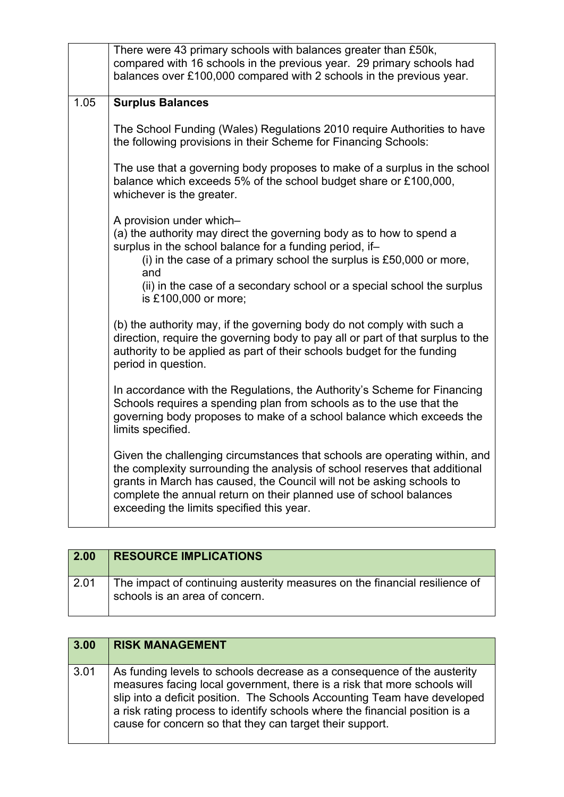|      | There were 43 primary schools with balances greater than £50k,<br>compared with 16 schools in the previous year. 29 primary schools had<br>balances over £100,000 compared with 2 schools in the previous year.                                                                                                                                      |
|------|------------------------------------------------------------------------------------------------------------------------------------------------------------------------------------------------------------------------------------------------------------------------------------------------------------------------------------------------------|
| 1.05 | <b>Surplus Balances</b>                                                                                                                                                                                                                                                                                                                              |
|      | The School Funding (Wales) Regulations 2010 require Authorities to have<br>the following provisions in their Scheme for Financing Schools:                                                                                                                                                                                                           |
|      | The use that a governing body proposes to make of a surplus in the school<br>balance which exceeds 5% of the school budget share or £100,000,<br>whichever is the greater.                                                                                                                                                                           |
|      | A provision under which-<br>(a) the authority may direct the governing body as to how to spend a<br>surplus in the school balance for a funding period, if-<br>(i) in the case of a primary school the surplus is $£50,000$ or more,<br>and                                                                                                          |
|      | (ii) in the case of a secondary school or a special school the surplus<br>is £100,000 or more;                                                                                                                                                                                                                                                       |
|      | (b) the authority may, if the governing body do not comply with such a<br>direction, require the governing body to pay all or part of that surplus to the<br>authority to be applied as part of their schools budget for the funding<br>period in question.                                                                                          |
|      | In accordance with the Regulations, the Authority's Scheme for Financing<br>Schools requires a spending plan from schools as to the use that the<br>governing body proposes to make of a school balance which exceeds the<br>limits specified.                                                                                                       |
|      | Given the challenging circumstances that schools are operating within, and<br>the complexity surrounding the analysis of school reserves that additional<br>grants in March has caused, the Council will not be asking schools to<br>complete the annual return on their planned use of school balances<br>exceeding the limits specified this year. |

| $\vert$ 2.00 | <b>RESOURCE IMPLICATIONS</b>                                                                                 |
|--------------|--------------------------------------------------------------------------------------------------------------|
| 2.01         | The impact of continuing austerity measures on the financial resilience of<br>schools is an area of concern. |

| 3.00 | <b>RISK MANAGEMENT</b>                                                                                                                                                                                                                                                                                                                                                     |
|------|----------------------------------------------------------------------------------------------------------------------------------------------------------------------------------------------------------------------------------------------------------------------------------------------------------------------------------------------------------------------------|
| 3.01 | As funding levels to schools decrease as a consequence of the austerity<br>measures facing local government, there is a risk that more schools will<br>slip into a deficit position. The Schools Accounting Team have developed<br>a risk rating process to identify schools where the financial position is a<br>cause for concern so that they can target their support. |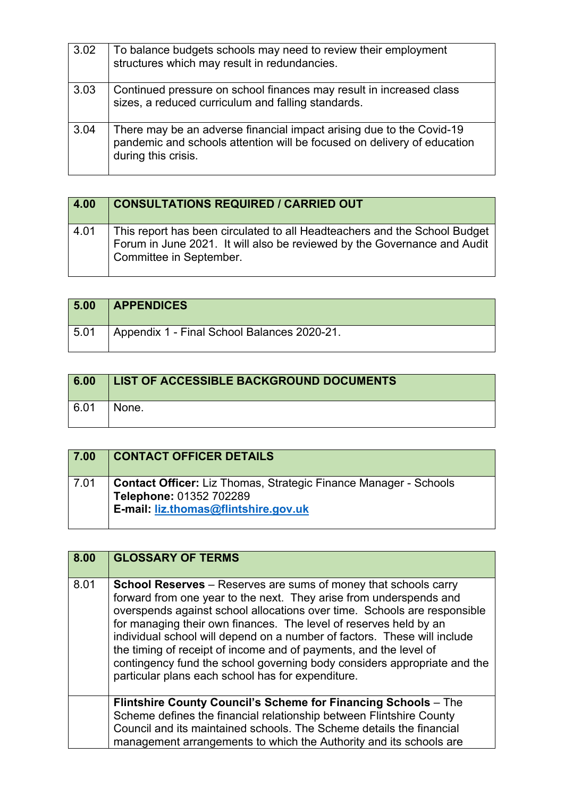| 3.02 | To balance budgets schools may need to review their employment<br>structures which may result in redundancies.                                                         |
|------|------------------------------------------------------------------------------------------------------------------------------------------------------------------------|
| 3.03 | Continued pressure on school finances may result in increased class<br>sizes, a reduced curriculum and falling standards.                                              |
| 3.04 | There may be an adverse financial impact arising due to the Covid-19<br>pandemic and schools attention will be focused on delivery of education<br>during this crisis. |

| 4.00 | <b>CONSULTATIONS REQUIRED / CARRIED OUT</b>                                                                                                                                      |
|------|----------------------------------------------------------------------------------------------------------------------------------------------------------------------------------|
| 4.01 | This report has been circulated to all Headteachers and the School Budget<br>Forum in June 2021. It will also be reviewed by the Governance and Audit<br>Committee in September. |

| 5.00 | <b>APPENDICES</b>                           |
|------|---------------------------------------------|
| 5.01 | Appendix 1 - Final School Balances 2020-21. |

| 6.00 | <b>LIST OF ACCESSIBLE BACKGROUND DOCUMENTS</b> |
|------|------------------------------------------------|
| 6.01 | None.                                          |

| 7.00 | <b>CONTACT OFFICER DETAILS</b>                                                                                                             |
|------|--------------------------------------------------------------------------------------------------------------------------------------------|
| 7.01 | <b>Contact Officer:</b> Liz Thomas, Strategic Finance Manager - Schools<br>Telephone: 01352 702289<br>E-mail: liz.thomas@flintshire.gov.uk |

| 8.00                                                                                                                                                                                                                                                                                                                                                                                                                                                                                                                                                                                    | <b>GLOSSARY OF TERMS</b>                                                                                                                                                                                                                                                                   |
|-----------------------------------------------------------------------------------------------------------------------------------------------------------------------------------------------------------------------------------------------------------------------------------------------------------------------------------------------------------------------------------------------------------------------------------------------------------------------------------------------------------------------------------------------------------------------------------------|--------------------------------------------------------------------------------------------------------------------------------------------------------------------------------------------------------------------------------------------------------------------------------------------|
| 8.01<br><b>School Reserves</b> – Reserves are sums of money that schools carry<br>forward from one year to the next. They arise from underspends and<br>overspends against school allocations over time. Schools are responsible<br>for managing their own finances. The level of reserves held by an<br>individual school will depend on a number of factors. These will include<br>the timing of receipt of income and of payments, and the level of<br>contingency fund the school governing body considers appropriate and the<br>particular plans each school has for expenditure. |                                                                                                                                                                                                                                                                                            |
|                                                                                                                                                                                                                                                                                                                                                                                                                                                                                                                                                                                         | <b>Flintshire County Council's Scheme for Financing Schools – The</b><br>Scheme defines the financial relationship between Flintshire County<br>Council and its maintained schools. The Scheme details the financial<br>management arrangements to which the Authority and its schools are |